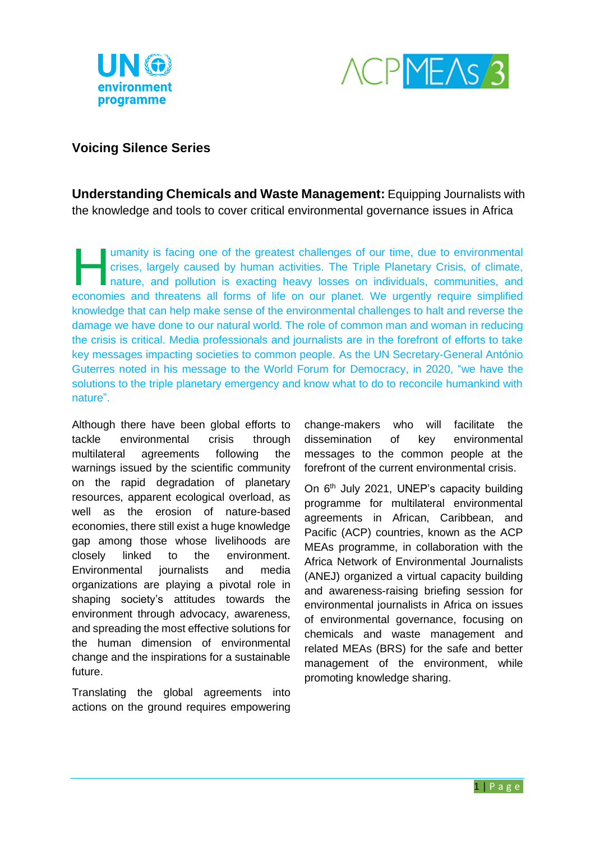



## **Voicing Silence Series**

**Understanding Chemicals and Waste Management:** Equipping Journalists with the knowledge and tools to cover critical environmental governance issues in Africa

umanity is facing one of the greatest challenges of our time, due to environmental crises, largely caused by human activities. The Triple Planetary Crisis, of climate, nature, and pollution is exacting heavy losses on individuals, communities, and umanity is facing one of the greatest challenges of our time, due to environmental<br>crises, largely caused by human activities. The Triple Planetary Crisis, of climate,<br>nature, and pollution is exacting heavy losses on indi knowledge that can help make sense of the environmental challenges to halt and reverse the damage we have done to our natural world. The role of common man and woman in reducing the crisis is critical. Media professionals and journalists are in the forefront of efforts to take key messages impacting societies to common people. As the UN Secretary-General António Guterres noted in his message to the World Forum for Democracy, in 2020, "we have the solutions to the triple planetary emergency and know what to do to reconcile humankind with nature".

Although there have been global efforts to tackle environmental crisis through multilateral agreements following the warnings issued by the scientific community on the rapid degradation of planetary resources, apparent ecological overload, as well as the erosion of nature-based economies, there still exist a huge knowledge gap among those whose livelihoods are closely linked to the environment. Environmental journalists and media organizations are playing a pivotal role in shaping society's attitudes towards the environment through advocacy, awareness, and spreading the most effective solutions for the human dimension of environmental change and the inspirations for a sustainable future.

Translating the global agreements into actions on the ground requires empowering change-makers who will facilitate the dissemination of key environmental messages to the common people at the forefront of the current environmental crisis.

On  $6<sup>th</sup>$  July 2021, UNEP's capacity building programme for multilateral environmental agreements in African, Caribbean, and Pacific (ACP) countries, known as the ACP MEAs programme, in collaboration with the Africa Network of Environmental Journalists (ANEJ) organized a virtual capacity building and awareness-raising briefing session for environmental journalists in Africa on issues of environmental governance, focusing on chemicals and waste management and related MEAs (BRS) for the safe and better management of the environment, while promoting knowledge sharing.

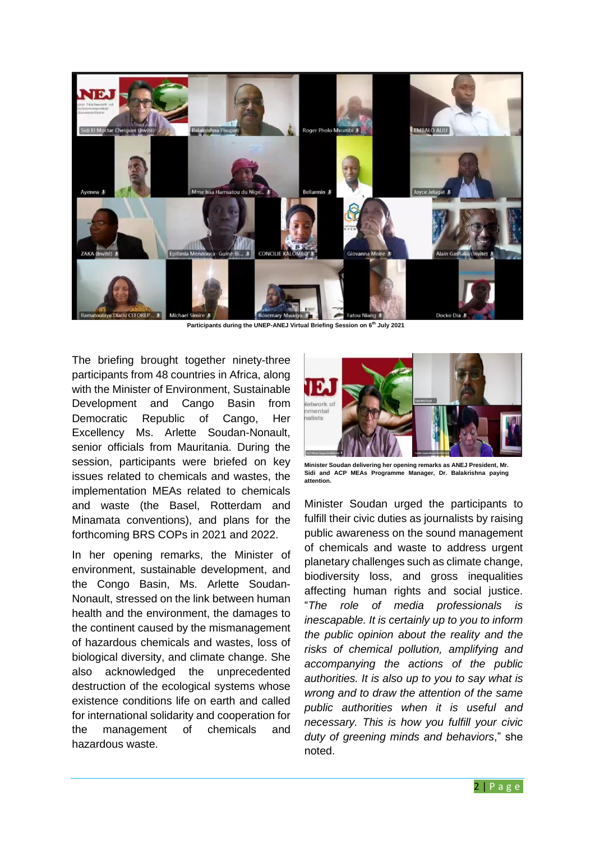

**Participants during the UNEP-ANEJ Virtual Briefing Session on 6 th July 2021**

The briefing brought together ninety-three participants from 48 countries in Africa, along with the Minister of Environment, Sustainable Development and Cango Basin from Democratic Republic of Cango, Her Excellency Ms. Arlette Soudan-Nonault, senior officials from Mauritania. During the session, participants were briefed on key issues related to chemicals and wastes, the implementation MEAs related to chemicals and waste (the Basel, Rotterdam and Minamata conventions), and plans for the forthcoming BRS COPs in 2021 and 2022.

In her opening remarks, the Minister of environment, sustainable development, and the Congo Basin, Ms. Arlette Soudan-Nonault, stressed on the link between human health and the environment, the damages to the continent caused by the mismanagement of hazardous chemicals and wastes, loss of biological diversity, and climate change. She also acknowledged the unprecedented destruction of the ecological systems whose existence conditions life on earth and called for international solidarity and cooperation for the management of chemicals and hazardous waste.



**Minister Soudan delivering her opening remarks as ANEJ President, Mr. Sidi and ACP MEAs Programme Manager, Dr. Balakrishna paying attention.**

Minister Soudan urged the participants to fulfill their civic duties as journalists by raising public awareness on the sound management of chemicals and waste to address urgent planetary challenges such as climate change, biodiversity loss, and gross inequalities affecting human rights and social justice. "*The role of media professionals is inescapable. It is certainly up to you to inform the public opinion about the reality and the risks of chemical pollution, amplifying and accompanying the actions of the public authorities. It is also up to you to say what is wrong and to draw the attention of the same public authorities when it is useful and necessary. This is how you fulfill your civic duty of greening minds and behaviors*," she noted.